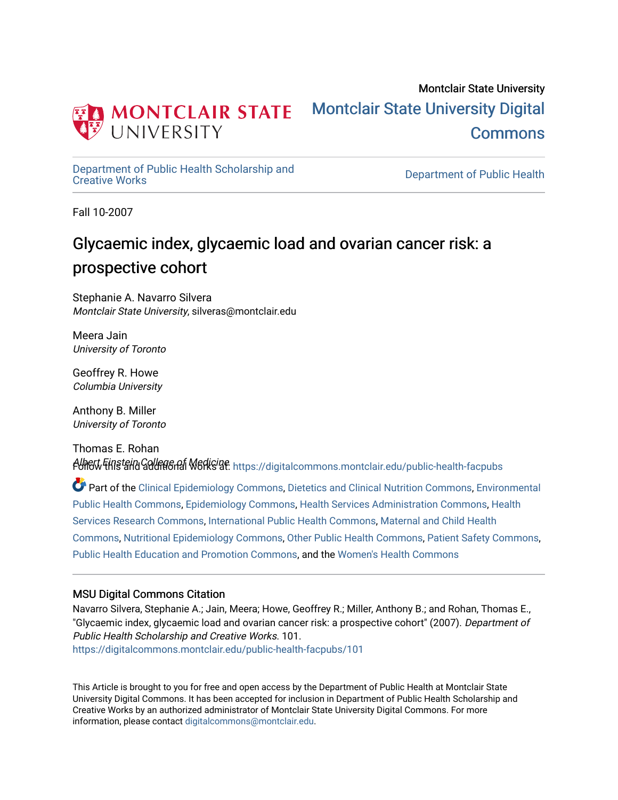

[Department of Public Health Scholarship and](https://digitalcommons.montclair.edu/public-health-facpubs) 

Department of Public Health

Fall 10-2007

# Glycaemic index, glycaemic load and ovarian cancer risk: a prospective cohort

Stephanie A. Navarro Silvera Montclair State University, silveras@montclair.edu

Meera Jain University of Toronto

Geoffrey R. Howe Columbia University

Anthony B. Miller University of Toronto

Thomas E. Rohan Albert Finstein College of Medicine.<br>Follow Finstein College of Medicine: https://digitalcommons.montclair.edu/public-health-facpubs

Part of the [Clinical Epidemiology Commons,](http://network.bepress.com/hgg/discipline/815?utm_source=digitalcommons.montclair.edu%2Fpublic-health-facpubs%2F101&utm_medium=PDF&utm_campaign=PDFCoverPages) [Dietetics and Clinical Nutrition Commons,](http://network.bepress.com/hgg/discipline/662?utm_source=digitalcommons.montclair.edu%2Fpublic-health-facpubs%2F101&utm_medium=PDF&utm_campaign=PDFCoverPages) [Environmental](http://network.bepress.com/hgg/discipline/739?utm_source=digitalcommons.montclair.edu%2Fpublic-health-facpubs%2F101&utm_medium=PDF&utm_campaign=PDFCoverPages)  [Public Health Commons,](http://network.bepress.com/hgg/discipline/739?utm_source=digitalcommons.montclair.edu%2Fpublic-health-facpubs%2F101&utm_medium=PDF&utm_campaign=PDFCoverPages) [Epidemiology Commons,](http://network.bepress.com/hgg/discipline/740?utm_source=digitalcommons.montclair.edu%2Fpublic-health-facpubs%2F101&utm_medium=PDF&utm_campaign=PDFCoverPages) [Health Services Administration Commons,](http://network.bepress.com/hgg/discipline/747?utm_source=digitalcommons.montclair.edu%2Fpublic-health-facpubs%2F101&utm_medium=PDF&utm_campaign=PDFCoverPages) [Health](http://network.bepress.com/hgg/discipline/816?utm_source=digitalcommons.montclair.edu%2Fpublic-health-facpubs%2F101&utm_medium=PDF&utm_campaign=PDFCoverPages) [Services Research Commons](http://network.bepress.com/hgg/discipline/816?utm_source=digitalcommons.montclair.edu%2Fpublic-health-facpubs%2F101&utm_medium=PDF&utm_campaign=PDFCoverPages), [International Public Health Commons,](http://network.bepress.com/hgg/discipline/746?utm_source=digitalcommons.montclair.edu%2Fpublic-health-facpubs%2F101&utm_medium=PDF&utm_campaign=PDFCoverPages) [Maternal and Child Health](http://network.bepress.com/hgg/discipline/745?utm_source=digitalcommons.montclair.edu%2Fpublic-health-facpubs%2F101&utm_medium=PDF&utm_campaign=PDFCoverPages) [Commons](http://network.bepress.com/hgg/discipline/745?utm_source=digitalcommons.montclair.edu%2Fpublic-health-facpubs%2F101&utm_medium=PDF&utm_campaign=PDFCoverPages), [Nutritional Epidemiology Commons](http://network.bepress.com/hgg/discipline/100?utm_source=digitalcommons.montclair.edu%2Fpublic-health-facpubs%2F101&utm_medium=PDF&utm_campaign=PDFCoverPages), [Other Public Health Commons](http://network.bepress.com/hgg/discipline/748?utm_source=digitalcommons.montclair.edu%2Fpublic-health-facpubs%2F101&utm_medium=PDF&utm_campaign=PDFCoverPages), [Patient Safety Commons](http://network.bepress.com/hgg/discipline/1410?utm_source=digitalcommons.montclair.edu%2Fpublic-health-facpubs%2F101&utm_medium=PDF&utm_campaign=PDFCoverPages), [Public Health Education and Promotion Commons,](http://network.bepress.com/hgg/discipline/743?utm_source=digitalcommons.montclair.edu%2Fpublic-health-facpubs%2F101&utm_medium=PDF&utm_campaign=PDFCoverPages) and the [Women's Health Commons](http://network.bepress.com/hgg/discipline/1241?utm_source=digitalcommons.montclair.edu%2Fpublic-health-facpubs%2F101&utm_medium=PDF&utm_campaign=PDFCoverPages) 

## MSU Digital Commons Citation

Navarro Silvera, Stephanie A.; Jain, Meera; Howe, Geoffrey R.; Miller, Anthony B.; and Rohan, Thomas E., "Glycaemic index, glycaemic load and ovarian cancer risk: a prospective cohort" (2007). Department of Public Health Scholarship and Creative Works. 101. [https://digitalcommons.montclair.edu/public-health-facpubs/101](https://digitalcommons.montclair.edu/public-health-facpubs/101?utm_source=digitalcommons.montclair.edu%2Fpublic-health-facpubs%2F101&utm_medium=PDF&utm_campaign=PDFCoverPages) 

This Article is brought to you for free and open access by the Department of Public Health at Montclair State University Digital Commons. It has been accepted for inclusion in Department of Public Health Scholarship and Creative Works by an authorized administrator of Montclair State University Digital Commons. For more information, please contact [digitalcommons@montclair.edu](mailto:digitalcommons@montclair.edu).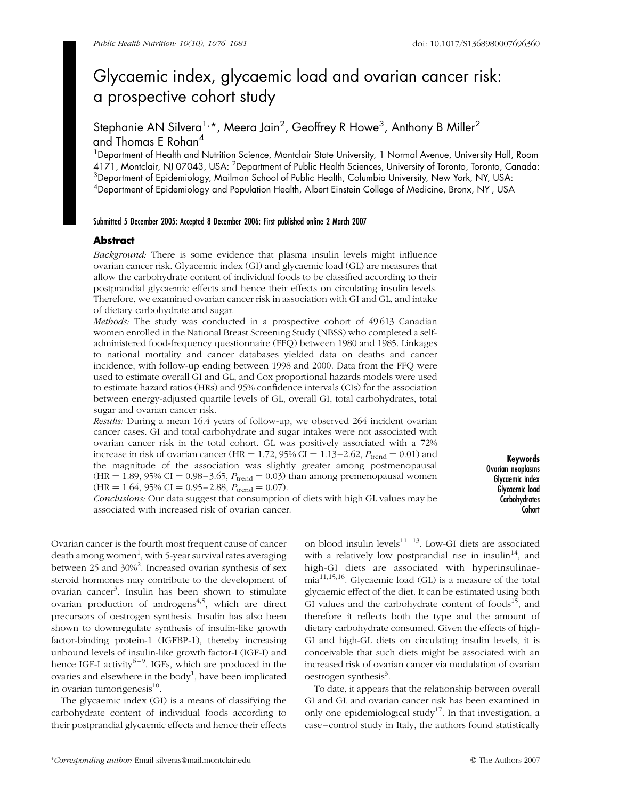## Glycaemic index, glycaemic load and ovarian cancer risk: a prospective cohort study

Stephanie AN Silvera<sup>1,</sup>\*, Meera Jain<sup>2</sup>, Geoffrey R Howe<sup>3</sup>, Anthony B Miller<sup>2</sup> and Thomas E Rohan<sup>4</sup>

<sup>1</sup>Department of Health and Nutrition Science, Montclair State University, 1 Normal Avenue, University Hall, Room 4171, Montclair, NJ 07043, USA: <sup>2</sup>Department of Public Health Sciences, University of Toronto, Toronto, Canada:  $^3$ Department of Epidemiology, Mailman School of Public Health, Columbia University, New York, NY, USA: 4 Department of Epidemiology and Population Health, Albert Einstein College of Medicine, Bronx, NY , USA

#### Submitted 5 December 2005: Accepted 8 December 2006: First published online 2 March 2007

#### **Abstract**

Background: There is some evidence that plasma insulin levels might influence ovarian cancer risk. Glyacemic index (GI) and glycaemic load (GL) are measures that allow the carbohydrate content of individual foods to be classified according to their postprandial glycaemic effects and hence their effects on circulating insulin levels. Therefore, we examined ovarian cancer risk in association with GI and GL, and intake of dietary carbohydrate and sugar.

Methods: The study was conducted in a prospective cohort of 49 613 Canadian women enrolled in the National Breast Screening Study (NBSS) who completed a selfadministered food-frequency questionnaire (FFQ) between 1980 and 1985. Linkages to national mortality and cancer databases yielded data on deaths and cancer incidence, with follow-up ending between 1998 and 2000. Data from the FFQ were used to estimate overall GI and GL, and Cox proportional hazards models were used to estimate hazard ratios (HRs) and 95% confidence intervals (CIs) for the association between energy-adjusted quartile levels of GL, overall GI, total carbohydrates, total sugar and ovarian cancer risk.

Results: During a mean 16.4 years of follow-up, we observed 264 incident ovarian cancer cases. GI and total carbohydrate and sugar intakes were not associated with ovarian cancer risk in the total cohort. GL was positively associated with a 72% increase in risk of ovarian cancer (HR = 1.72, 95% CI = 1.13–2.62,  $P_{\text{trend}} = 0.01$ ) and the magnitude of the association was slightly greater among postmenopausal  $(HR = 1.89, 95\% CI = 0.98 - 3.65, P<sub>trend</sub> = 0.03)$  than among premenopausal women  $(HR = 1.64, 95\% \text{ CI} = 0.95 - 2.88, P_{trend} = 0.07).$ 

Keywords Ovarian neoplasms Glycaemic index Glycaemic load **Carbohydrates** Cohort

Conclusions: Our data suggest that consumption of diets with high GL values may be associated with increased risk of ovarian cancer.

Ovarian cancer is the fourth most frequent cause of cancer death among women<sup>1</sup>, with 5-year survival rates averaging between 25 and 30%<sup>2</sup>. Increased ovarian synthesis of sex steroid hormones may contribute to the development of ovarian cancer<sup>3</sup>. Insulin has been shown to stimulate ovarian production of androgens<sup>4,5</sup>, which are direct precursors of oestrogen synthesis. Insulin has also been shown to downregulate synthesis of insulin-like growth factor-binding protein-1 (IGFBP-1), thereby increasing unbound levels of insulin-like growth factor-I (IGF-I) and hence IGF-I activity<sup>6-9</sup>. IGFs, which are produced in the ovaries and elsewhere in the body<sup>1</sup>, have been implicated in ovarian tumorigenesis $^{10}$ .

The glycaemic index (GI) is a means of classifying the carbohydrate content of individual foods according to their postprandial glycaemic effects and hence their effects on blood insulin levels $11-13$ . Low-GI diets are associated with a relatively low postprandial rise in insulin<sup>14</sup>, and high-GI diets are associated with hyperinsulinae $mia<sup>11,15,16</sup>$ . Glycaemic load (GL) is a measure of the total glycaemic effect of the diet. It can be estimated using both GI values and the carbohydrate content of  $foods<sup>15</sup>$ , and therefore it reflects both the type and the amount of dietary carbohydrate consumed. Given the effects of high-GI and high-GL diets on circulating insulin levels, it is conceivable that such diets might be associated with an increased risk of ovarian cancer via modulation of ovarian oestrogen synthesis<sup>3</sup>.

To date, it appears that the relationship between overall GI and GL and ovarian cancer risk has been examined in only one epidemiological study<sup>17</sup>. In that investigation, a case–control study in Italy, the authors found statistically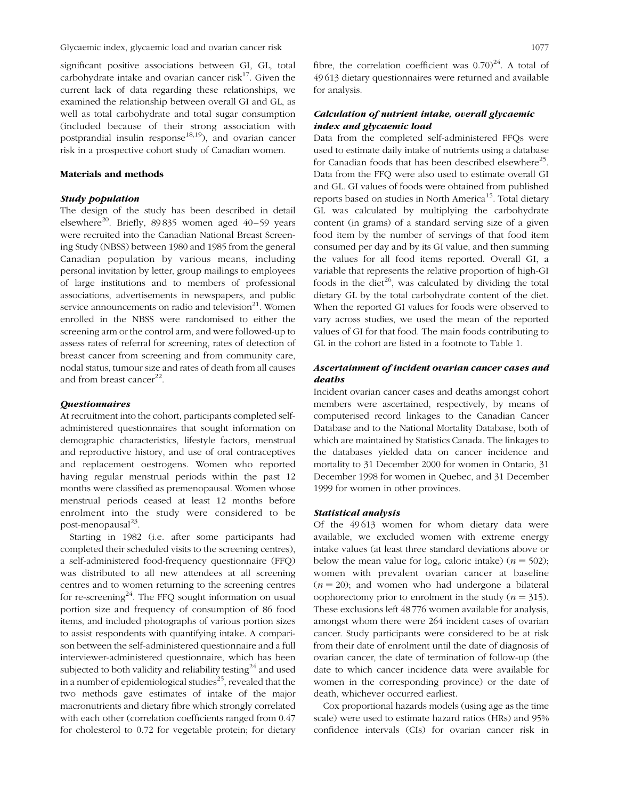significant positive associations between GI, GL, total carbohydrate intake and ovarian cancer risk $^{17}$ . Given the current lack of data regarding these relationships, we examined the relationship between overall GI and GL, as well as total carbohydrate and total sugar consumption (included because of their strong association with postprandial insulin response<sup>18,19</sup>), and ovarian cancer risk in a prospective cohort study of Canadian women.

### Materials and methods

#### Study population

The design of the study has been described in detail elsewhere<sup>20</sup>. Briefly, 89 835 women aged  $40-59$  years were recruited into the Canadian National Breast Screening Study (NBSS) between 1980 and 1985 from the general Canadian population by various means, including personal invitation by letter, group mailings to employees of large institutions and to members of professional associations, advertisements in newspapers, and public service announcements on radio and television $^{21}$ . Women enrolled in the NBSS were randomised to either the screening arm or the control arm, and were followed-up to assess rates of referral for screening, rates of detection of breast cancer from screening and from community care, nodal status, tumour size and rates of death from all causes and from breast cancer<sup>22</sup>.

### **Questionnaires**

At recruitment into the cohort, participants completed selfadministered questionnaires that sought information on demographic characteristics, lifestyle factors, menstrual and reproductive history, and use of oral contraceptives and replacement oestrogens. Women who reported having regular menstrual periods within the past 12 months were classified as premenopausal. Women whose menstrual periods ceased at least 12 months before enrolment into the study were considered to be post-menopausal $^{23}$ .

Starting in 1982 (i.e. after some participants had completed their scheduled visits to the screening centres), a self-administered food-frequency questionnaire (FFQ) was distributed to all new attendees at all screening centres and to women returning to the screening centres for re-screening<sup>24</sup>. The FFQ sought information on usual portion size and frequency of consumption of 86 food items, and included photographs of various portion sizes to assist respondents with quantifying intake. A comparison between the self-administered questionnaire and a full interviewer-administered questionnaire, which has been subjected to both validity and reliability testing<sup>24</sup> and used in a number of epidemiological studies<sup>25</sup>, revealed that the two methods gave estimates of intake of the major macronutrients and dietary fibre which strongly correlated with each other (correlation coefficients ranged from 0.47 for cholesterol to 0.72 for vegetable protein; for dietary fibre, the correlation coefficient was  $0.70^{24}$ . A total of 49 613 dietary questionnaires were returned and available for analysis.

## Calculation of nutrient intake, overall glycaemic index and glycaemic load

Data from the completed self-administered FFQs were used to estimate daily intake of nutrients using a database for Canadian foods that has been described elsewhere<sup>25</sup>. Data from the FFQ were also used to estimate overall GI and GL. GI values of foods were obtained from published reports based on studies in North America<sup>15</sup>. Total dietary GL was calculated by multiplying the carbohydrate content (in grams) of a standard serving size of a given food item by the number of servings of that food item consumed per day and by its GI value, and then summing the values for all food items reported. Overall GI, a variable that represents the relative proportion of high-GI foods in the diet $^{26}$ , was calculated by dividing the total dietary GL by the total carbohydrate content of the diet. When the reported GI values for foods were observed to vary across studies, we used the mean of the reported values of GI for that food. The main foods contributing to GL in the cohort are listed in a footnote to Table 1.

## Ascertainment of incident ovarian cancer cases and deaths

Incident ovarian cancer cases and deaths amongst cohort members were ascertained, respectively, by means of computerised record linkages to the Canadian Cancer Database and to the National Mortality Database, both of which are maintained by Statistics Canada. The linkages to the databases yielded data on cancer incidence and mortality to 31 December 2000 for women in Ontario, 31 December 1998 for women in Quebec, and 31 December 1999 for women in other provinces.

#### Statistical analysis

Of the 49 613 women for whom dietary data were available, we excluded women with extreme energy intake values (at least three standard deviations above or below the mean value for log<sub>e</sub> caloric intake) ( $n = 502$ ); women with prevalent ovarian cancer at baseline  $(n = 20)$ ; and women who had undergone a bilateral oophorectomy prior to enrolment in the study ( $n = 315$ ). These exclusions left 48 776 women available for analysis, amongst whom there were 264 incident cases of ovarian cancer. Study participants were considered to be at risk from their date of enrolment until the date of diagnosis of ovarian cancer, the date of termination of follow-up (the date to which cancer incidence data were available for women in the corresponding province) or the date of death, whichever occurred earliest.

Cox proportional hazards models (using age as the time scale) were used to estimate hazard ratios (HRs) and 95% confidence intervals (CIs) for ovarian cancer risk in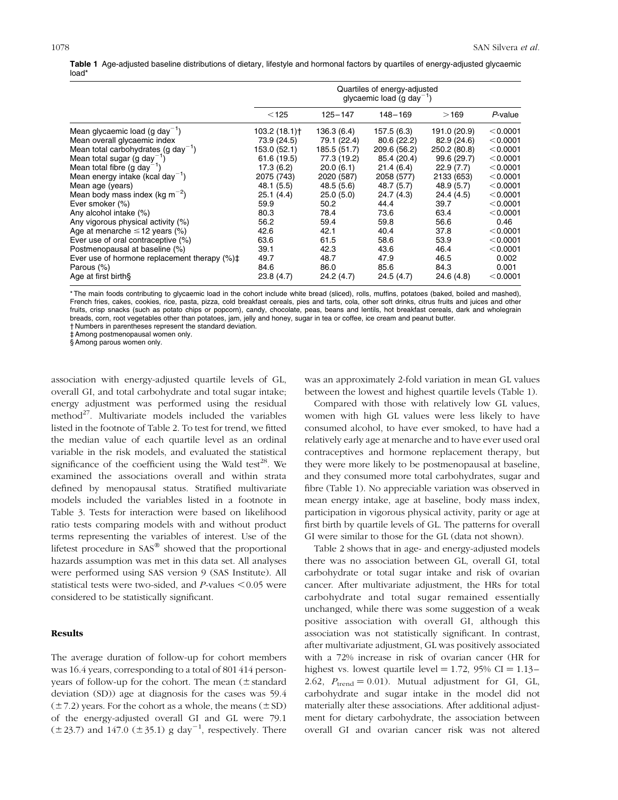Table 1 Age-adjusted baseline distributions of dietary, lifestyle and hormonal factors by quartiles of energy-adjusted glycaemic load\*

|                                                        | Quartiles of energy-adjusted<br>glycaemic load (g day <sup>-1</sup> ) |              |              |              |          |
|--------------------------------------------------------|-----------------------------------------------------------------------|--------------|--------------|--------------|----------|
|                                                        | < 125                                                                 | $125 - 147$  | 148-169      | >169         | P-value  |
| Mean glycaemic load (g day <sup>-1</sup> )             | 103.2 (18.1)†                                                         | 136.3 (6.4)  | 157.5 (6.3)  | 191.0 (20.9) | < 0.0001 |
| Mean overall glycaemic index                           | 73.9 (24.5)                                                           | 79.1 (22.4)  | 80.6 (22.2)  | 82.9 (24.6)  | < 0.0001 |
| Mean total carbohydrates (g day <sup>-1</sup> )        | 153.0 (52.1)                                                          | 185.5 (51.7) | 209.6 (56.2) | 250.2 (80.8) | < 0.0001 |
| Mean total sugar (g day <sup>-1</sup> )                | 61.6 (19.5)                                                           | 77.3 (19.2)  | 85.4 (20.4)  | 99.6 (29.7)  | < 0.0001 |
| Mean total fibre (q day <sup>-1</sup> )                | 17.3(6.2)                                                             | 20.0(6.1)    | 21.4(6.4)    | 22.9(7.7)    | < 0.0001 |
| Mean energy intake (kcal day <sup>-1</sup> )           | 2075 (743)                                                            | 2020 (587)   | 2058 (577)   | 2133 (653)   | < 0.0001 |
| Mean age (years)                                       | 48.1 (5.5)                                                            | 48.5 (5.6)   | 48.7 (5.7)   | 48.9 (5.7)   | < 0.0001 |
| Mean body mass index (kg $m^{-2}$ )                    | 25.1(4.4)                                                             | 25.0(5.0)    | 24.7 (4.3)   | 24.4 (4.5)   | < 0.0001 |
| Ever smoker (%)                                        | 59.9                                                                  | 50.2         | 44.4         | 39.7         | < 0.0001 |
| Any alcohol intake (%)                                 | 80.3                                                                  | 78.4         | 73.6         | 63.4         | < 0.0001 |
| Any vigorous physical activity (%)                     | 56.2                                                                  | 59.4         | 59.8         | 56.6         | 0.46     |
| Age at menarche $\leq$ 12 years (%)                    | 42.6                                                                  | 42.1         | 40.4         | 37.8         | < 0.0001 |
| Ever use of oral contraceptive (%)                     | 63.6                                                                  | 61.5         | 58.6         | 53.9         | < 0.0001 |
| Postmenopausal at baseline (%)                         | 39.1                                                                  | 42.3         | 43.6         | 46.4         | < 0.0001 |
| Ever use of hormone replacement therapy $(\%)\ddagger$ | 49.7                                                                  | 48.7         | 47.9         | 46.5         | 0.002    |
| Parous (%)                                             | 84.6                                                                  | 86.0         | 85.6         | 84.3         | 0.001    |
| Age at first birth§                                    | 23.8(4.7)                                                             | 24.2(4.7)    | 24.5(4.7)    | 24.6 (4.8)   | < 0.0001 |

\* The main foods contributing to glycaemic load in the cohort include white bread (sliced), rolls, muffins, potatoes (baked, boiled and mashed), French fries, cakes, cookies, rice, pasta, pizza, cold breakfast cereals, pies and tarts, cola, other soft drinks, citrus fruits and juices and other fruits, crisp snacks (such as potato chips or popcorn), candy, chocolate, peas, beans and lentils, hot breakfast cereals, dark and wholegrain breads, corn, root vegetables other than potatoes, jam, jelly and honey, sugar in tea or coffee, ice cream and peanut butter.

† Numbers in parentheses represent the standard deviation. ‡ Among postmenopausal women only.

§ Among parous women only.

association with energy-adjusted quartile levels of GL, overall GI, and total carbohydrate and total sugar intake; energy adjustment was performed using the residual method $^{27}$ . Multivariate models included the variables listed in the footnote of Table 2. To test for trend, we fitted the median value of each quartile level as an ordinal variable in the risk models, and evaluated the statistical significance of the coefficient using the Wald test<sup>28</sup>. We examined the associations overall and within strata defined by menopausal status. Stratified multivariate models included the variables listed in a footnote in Table 3. Tests for interaction were based on likelihood ratio tests comparing models with and without product terms representing the variables of interest. Use of the lifetest procedure in  $SAS^{\circledast}$  showed that the proportional hazards assumption was met in this data set. All analyses were performed using SAS version 9 (SAS Institute). All statistical tests were two-sided, and  $P$ -values  $<0.05$  were considered to be statistically significant.

## Results

The average duration of follow-up for cohort members was 16.4 years, corresponding to a total of 801 414 personyears of follow-up for the cohort. The mean  $(\pm$  standard deviation (SD)) age at diagnosis for the cases was 59.4  $(\pm 7.2)$  years. For the cohort as a whole, the means  $(\pm SD)$ of the energy-adjusted overall GI and GL were 79.1  $(\pm 23.7)$  and 147.0 ( $\pm 35.1$ ) g day<sup>-1</sup>, respectively. There

was an approximately 2-fold variation in mean GL values between the lowest and highest quartile levels (Table 1).

Compared with those with relatively low GL values, women with high GL values were less likely to have consumed alcohol, to have ever smoked, to have had a relatively early age at menarche and to have ever used oral contraceptives and hormone replacement therapy, but they were more likely to be postmenopausal at baseline, and they consumed more total carbohydrates, sugar and fibre (Table 1). No appreciable variation was observed in mean energy intake, age at baseline, body mass index, participation in vigorous physical activity, parity or age at first birth by quartile levels of GL. The patterns for overall GI were similar to those for the GL (data not shown).

Table 2 shows that in age- and energy-adjusted models there was no association between GL, overall GI, total carbohydrate or total sugar intake and risk of ovarian cancer. After multivariate adjustment, the HRs for total carbohydrate and total sugar remained essentially unchanged, while there was some suggestion of a weak positive association with overall GI, although this association was not statistically significant. In contrast, after multivariate adjustment, GL was positively associated with a 72% increase in risk of ovarian cancer (HR for highest vs. lowest quartile level  $= 1.72$ , 95% CI  $= 1.13 -$ 2.62,  $P_{\text{trend}} = 0.01$ ). Mutual adjustment for GI, GL, carbohydrate and sugar intake in the model did not materially alter these associations. After additional adjustment for dietary carbohydrate, the association between overall GI and ovarian cancer risk was not altered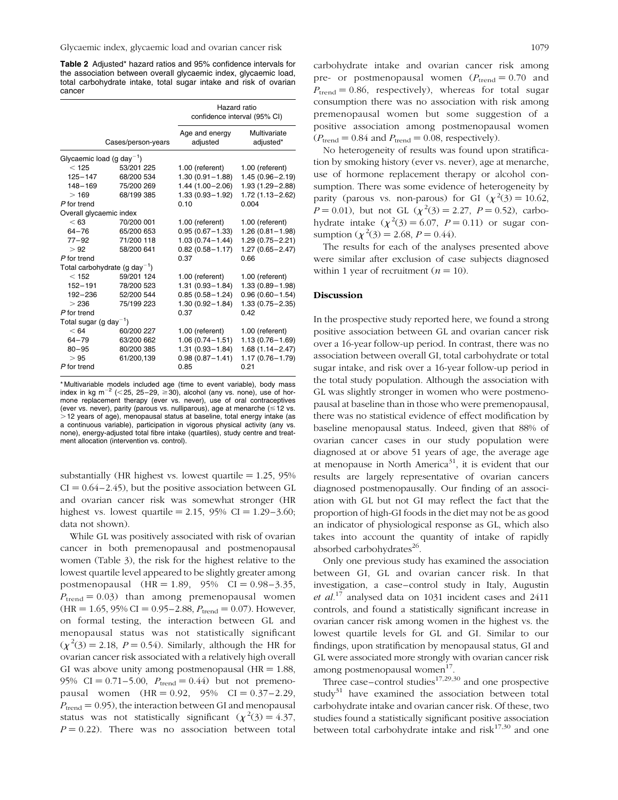Table 2 Adjusted\* hazard ratios and 95% confidence intervals for the association between overall glycaemic index, glycaemic load, total carbohydrate intake, total sugar intake and risk of ovarian cancer

|                                    |                                           | Hazard ratio<br>confidence interval (95% CI) |                           |  |
|------------------------------------|-------------------------------------------|----------------------------------------------|---------------------------|--|
|                                    | Cases/person-years                        | Age and energy<br>adjusted                   | Multivariate<br>adjusted* |  |
|                                    | Glycaemic load (g day <sup>-1</sup> )     |                                              |                           |  |
| < 125                              | 53/201 225                                | 1.00 (referent)                              | 1.00 (referent)           |  |
| $125 - 147$                        | 68/200 534                                | $1.30(0.91 - 1.88)$                          | $1.45(0.96 - 2.19)$       |  |
| $148 - 169$                        | 75/200 269                                | $1.44(1.00 - 2.06)$                          | 1.93 (1.29-2.88)          |  |
| >169                               | 68/199 385                                | $1.33(0.93 - 1.92)$                          | 1.72 (1.13-2.62)          |  |
| P for trend                        |                                           | 0.10                                         | 0.004                     |  |
| Overall glycaemic index            |                                           |                                              |                           |  |
| < 63                               | 70/200 001                                | 1.00 (referent)                              | 1.00 (referent)           |  |
| $64 - 76$                          | 65/200 653                                | $0.95(0.67 - 1.33)$                          | $1.26(0.81 - 1.98)$       |  |
| 77–92                              | 71/200 118                                | $1.03(0.74 - 1.44)$                          | $1.29(0.75 - 2.21)$       |  |
| > 92                               | 58/200 641                                | $0.82(0.58 - 1.17)$                          | $1.27(0.65 - 2.47)$       |  |
| P for trend                        |                                           | 0.37                                         | 0.66                      |  |
|                                    | Total carbohydrate (g day <sup>-1</sup> ) |                                              |                           |  |
| < 152                              | 59/201 124                                | 1.00 (referent)                              | 1.00 (referent)           |  |
| $152 - 191$                        | 78/200 523                                | $1.31(0.93 - 1.84)$                          | $1.33(0.89 - 1.98)$       |  |
| 192-236                            | 52/200 544                                | $0.85(0.58 - 1.24)$                          | $0.96(0.60 - 1.54)$       |  |
| >236                               | 75/199 223                                | $1.30(0.92 - 1.84)$                          | $1.33(0.75 - 2.35)$       |  |
| P for trend                        |                                           | 0.37                                         | 0.42                      |  |
| Total sugar (g day <sup>-1</sup> ) |                                           |                                              |                           |  |
| < 64                               | 60/200 227                                | 1.00 (referent)                              | 1.00 (referent)           |  |
| $64 - 79$                          | 63/200 662                                | $1.06(0.74 - 1.51)$                          | $1.13(0.76 - 1.69)$       |  |
| $80 - 95$                          | 80/200 385                                | $1.31(0.93 - 1.84)$                          | $1.68(1.14 - 2.47)$       |  |
| >95                                | 61/200,139                                | $0.98(0.87 - 1.41)$                          | 1.17 (0.76-1.79)          |  |
| P for trend                        |                                           | 0.85                                         | 0.21                      |  |

\* Multivariable models included age (time to event variable), body mass index in kg m<sup>-2</sup> (<25, 25-29,  $\geq$ 30), alcohol (any vs. none), use of hormone replacement therapy (ever vs. never), use of oral contraceptives (ever vs. never), parity (parous vs. nulliparous), age at menarche ( $\leq$  12 vs.  $>$ 12 years of age), menopausal status at baseline, total energy intake (as a continuous variable), participation in vigorous physical activity (any vs. none), energy-adjusted total fibre intake (quartiles), study centre and treatment allocation (intervention vs. control).

substantially (HR highest vs. lowest quartile  $= 1.25$ , 95%  $CI = 0.64 - 2.45$ , but the positive association between GL and ovarian cancer risk was somewhat stronger (HR highest vs. lowest quartile = 2.15, 95% CI =  $1.29 - 3.60$ ; data not shown).

While GL was positively associated with risk of ovarian cancer in both premenopausal and postmenopausal women (Table 3), the risk for the highest relative to the lowest quartile level appeared to be slightly greater among postmenopausal  $(HR = 1.89, 95\% \text{ CI} = 0.98 - 3.35,$  $P_{\text{trend}} = 0.03$ ) than among premenopausal women  $(HR = 1.65, 95\% \text{ CI} = 0.95 - 2.88, P_{trend} = 0.07)$ . However, on formal testing, the interaction between GL and menopausal status was not statistically significant  $(\chi^2(3) = 2.18, P = 0.54)$ . Similarly, although the HR for ovarian cancer risk associated with a relatively high overall GI was above unity among postmenopausal ( $HR = 1.88$ , 95% CI = 0.71 – 5.00,  $P_{\text{trend}} = 0.44$ ) but not premenopausal women  $(HR = 0.92, 95\% \text{ CI} = 0.37 - 2.29,$  $P_{\text{trend}} = 0.95$ , the interaction between GI and menopausal status was not statistically significant  $(\chi^2(3) = 4.37)$ ,  $P = 0.22$ ). There was no association between total carbohydrate intake and ovarian cancer risk among pre- or postmenopausal women  $(P_{\text{trend}} = 0.70$  and  $P_{\text{trend}} = 0.86$ , respectively), whereas for total sugar consumption there was no association with risk among premenopausal women but some suggestion of a positive association among postmenopausal women  $(P_{\text{trend}} = 0.84 \text{ and } P_{\text{trend}} = 0.08, \text{ respectively}).$ 

No heterogeneity of results was found upon stratification by smoking history (ever vs. never), age at menarche, use of hormone replacement therapy or alcohol consumption. There was some evidence of heterogeneity by parity (parous vs. non-parous) for GI  $(\chi^2(3) = 10.62,$  $P = 0.01$ ), but not GL  $(\chi^2(3) = 2.27, P = 0.52)$ , carbohydrate intake  $(\chi^2(3) = 6.07, P = 0.11)$  or sugar consumption  $(\chi^2(3) = 2.68, P = 0.44)$ .

The results for each of the analyses presented above were similar after exclusion of case subjects diagnosed within 1 year of recruitment  $(n = 10)$ .

#### Discussion

In the prospective study reported here, we found a strong positive association between GL and ovarian cancer risk over a 16-year follow-up period. In contrast, there was no association between overall GI, total carbohydrate or total sugar intake, and risk over a 16-year follow-up period in the total study population. Although the association with GL was slightly stronger in women who were postmenopausal at baseline than in those who were premenopausal, there was no statistical evidence of effect modification by baseline menopausal status. Indeed, given that 88% of ovarian cancer cases in our study population were diagnosed at or above 51 years of age, the average age at menopause in North America<sup>31</sup>, it is evident that our results are largely representative of ovarian cancers diagnosed postmenopausally. Our finding of an association with GL but not GI may reflect the fact that the proportion of high-GI foods in the diet may not be as good an indicator of physiological response as GL, which also takes into account the quantity of intake of rapidly absorbed carbohydrates<sup>26</sup>.

Only one previous study has examined the association between GI, GL and ovarian cancer risk. In that investigation, a case–control study in Italy, Augustin et  $al$ <sup>17</sup> analysed data on 1031 incident cases and 2411 controls, and found a statistically significant increase in ovarian cancer risk among women in the highest vs. the lowest quartile levels for GL and GI. Similar to our findings, upon stratification by menopausal status, GI and GL were associated more strongly with ovarian cancer risk among postmenopausal women $17$ .

Three case–control studies<sup>17,29,30</sup> and one prospective study $31$  have examined the association between total carbohydrate intake and ovarian cancer risk. Of these, two studies found a statistically significant positive association between total carbohydrate intake and risk $17,30$  and one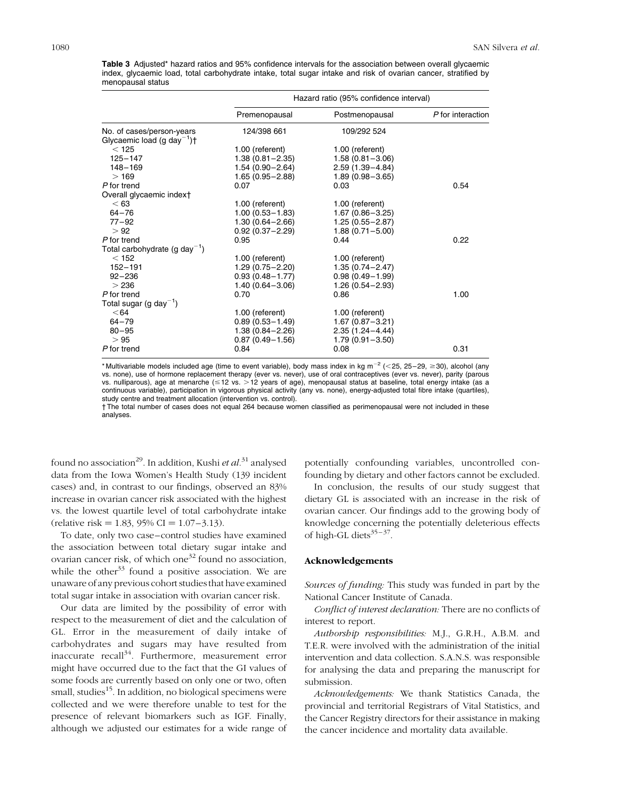Table 3 Adjusted\* hazard ratios and 95% confidence intervals for the association between overall glycaemic index, glycaemic load, total carbohydrate intake, total sugar intake and risk of ovarian cancer, stratified by menopausal status

|                                                    | Hazard ratio (95% confidence interval) |                     |                   |  |
|----------------------------------------------------|----------------------------------------|---------------------|-------------------|--|
|                                                    | Premenopausal                          | Postmenopausal      | P for interaction |  |
| No. of cases/person-years                          | 124/398 661                            | 109/292 524         |                   |  |
| Glycaemic load (g day <sup>-1</sup> ) <sup>+</sup> |                                        |                     |                   |  |
| < 125                                              | 1.00 (referent)                        | 1.00 (referent)     |                   |  |
| $125 - 147$                                        | $1.38(0.81 - 2.35)$                    | $1.58(0.81 - 3.06)$ |                   |  |
| $148 - 169$                                        | $1.54(0.90 - 2.64)$                    | $2.59(1.39 - 4.84)$ |                   |  |
| >169                                               | $1.65(0.95 - 2.88)$                    | $1.89(0.98 - 3.65)$ |                   |  |
| P for trend                                        | 0.07                                   | 0.03                | 0.54              |  |
| Overall glycaemic indext                           |                                        |                     |                   |  |
| < 63                                               | 1.00 (referent)                        | 1.00 (referent)     |                   |  |
| $64 - 76$                                          | $1.00(0.53 - 1.83)$                    | $1.67(0.86 - 3.25)$ |                   |  |
| $77 - 92$                                          | 1.30 (0.64-2.66)                       | $1.25(0.55 - 2.87)$ |                   |  |
| > 92                                               | $0.92(0.37 - 2.29)$                    | $1.88(0.71 - 5.00)$ |                   |  |
| P for trend                                        | 0.95                                   | 0.44                | 0.22              |  |
| Total carbohydrate (g day <sup>-1</sup> )          |                                        |                     |                   |  |
| $<$ 152                                            | 1.00 (referent)                        | 1.00 (referent)     |                   |  |
| $152 - 191$                                        | $1.29(0.75 - 2.20)$                    | $1.35(0.74 - 2.47)$ |                   |  |
| $92 - 236$                                         | $0.93(0.48 - 1.77)$                    | $0.98(0.49 - 1.99)$ |                   |  |
| >236                                               | $1.40(0.64 - 3.06)$                    | $1.26(0.54 - 2.93)$ |                   |  |
| P for trend                                        | 0.70                                   | 0.86                | 1.00              |  |
| Total sugar (g day <sup>-1</sup> )                 |                                        |                     |                   |  |
| < 64                                               | 1.00 (referent)                        | 1.00 (referent)     |                   |  |
| $64 - 79$                                          | $0.89(0.53 - 1.49)$                    | $1.67(0.87 - 3.21)$ |                   |  |
| $80 - 95$                                          | $1.38(0.84 - 2.26)$                    | $2.35(1.24 - 4.44)$ |                   |  |
| >95                                                | $0.87(0.49 - 1.56)$                    | $1.79(0.91 - 3.50)$ |                   |  |
| P for trend                                        | 0.84                                   | 0.08                | 0.31              |  |
|                                                    |                                        |                     |                   |  |

\* Multivariable models included age (time to event variable), body mass index in kg m<sup>-2</sup> (<25, 25-29,  $\geq$ 30), alcohol (any vs. none), use of hormone replacement therapy (ever vs. never), use of oral contraceptives (ever vs. never), parity (parous vs. nulliparous), age at menarche ( $\leq$  12 vs.  $>$  12 years of age), menopausal status at baseline, total energy intake (as a continuous variable), participation in vigorous physical activity (any vs. none), energy-adjusted total fibre intake (quartiles), study centre and treatment allocation (intervention vs. control).

† The total number of cases does not equal 264 because women classified as perimenopausal were not included in these analyses.

found no association<sup>29</sup>. In addition, Kushi et  $al.^{31}$  analysed data from the Iowa Women's Health Study (139 incident cases) and, in contrast to our findings, observed an 83% increase in ovarian cancer risk associated with the highest vs. the lowest quartile level of total carbohydrate intake  $(\text{relative risk} = 1.83, 95\% \text{ CI} = 1.07 - 3.13).$ 

To date, only two case–control studies have examined the association between total dietary sugar intake and ovarian cancer risk, of which one<sup>32</sup> found no association, while the other<sup>33</sup> found a positive association. We are unaware of any previous cohort studies that have examined total sugar intake in association with ovarian cancer risk.

Our data are limited by the possibility of error with respect to the measurement of diet and the calculation of GL. Error in the measurement of daily intake of carbohydrates and sugars may have resulted from inaccurate recall<sup>34</sup>. Furthermore, measurement error might have occurred due to the fact that the GI values of some foods are currently based on only one or two, often small, studies<sup>15</sup>. In addition, no biological specimens were collected and we were therefore unable to test for the presence of relevant biomarkers such as IGF. Finally, although we adjusted our estimates for a wide range of potentially confounding variables, uncontrolled confounding by dietary and other factors cannot be excluded.

In conclusion, the results of our study suggest that dietary GL is associated with an increase in the risk of ovarian cancer. Our findings add to the growing body of knowledge concerning the potentially deleterious effects of high-GL diets $35 - 37$ .

#### Acknowledgements

Sources of funding: This study was funded in part by the National Cancer Institute of Canada.

Conflict of interest declaration: There are no conflicts of interest to report.

Authorship responsibilities: M.J., G.R.H., A.B.M. and T.E.R. were involved with the administration of the initial intervention and data collection. S.A.N.S. was responsible for analysing the data and preparing the manuscript for submission.

Acknowledgements: We thank Statistics Canada, the provincial and territorial Registrars of Vital Statistics, and the Cancer Registry directors for their assistance in making the cancer incidence and mortality data available.